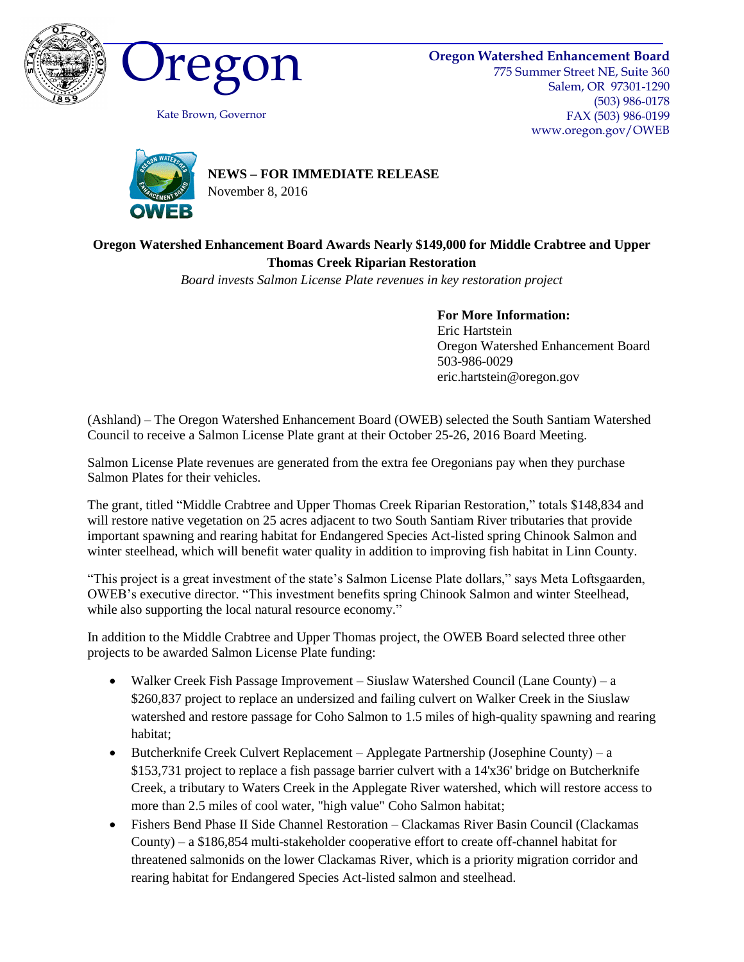





Kate Brown, Governor

775 Summer Street NE, Suite 360 Salem, OR 97301-1290 (503) 986-0178 FAX (503) 986-0199 www.oregon.gov/OWEB



**NEWS – FOR IMMEDIATE RELEASE**

November 8, 2016

## **Oregon Watershed Enhancement Board Awards Nearly \$149,000 for Middle Crabtree and Upper Thomas Creek Riparian Restoration**

*Board invests Salmon License Plate revenues in key restoration project*

**For More Information:**

Eric Hartstein Oregon Watershed Enhancement Board 503-986-0029 eric.hartstein@oregon.gov

(Ashland) – The Oregon Watershed Enhancement Board (OWEB) selected the South Santiam Watershed Council to receive a Salmon License Plate grant at their October 25-26, 2016 Board Meeting.

Salmon License Plate revenues are generated from the extra fee Oregonians pay when they purchase Salmon Plates for their vehicles.

The grant, titled "Middle Crabtree and Upper Thomas Creek Riparian Restoration," totals \$148,834 and will restore native vegetation on 25 acres adjacent to two South Santiam River tributaries that provide important spawning and rearing habitat for Endangered Species Act-listed spring Chinook Salmon and winter steelhead, which will benefit water quality in addition to improving fish habitat in Linn County.

"This project is a great investment of the state's Salmon License Plate dollars," says Meta Loftsgaarden, OWEB's executive director. "This investment benefits spring Chinook Salmon and winter Steelhead, while also supporting the local natural resource economy."

In addition to the Middle Crabtree and Upper Thomas project, the OWEB Board selected three other projects to be awarded Salmon License Plate funding:

- Walker Creek Fish Passage Improvement Siuslaw Watershed Council (Lane County) a \$260,837 project to replace an undersized and failing culvert on Walker Creek in the Siuslaw watershed and restore passage for Coho Salmon to 1.5 miles of high-quality spawning and rearing habitat;
- Butcherknife Creek Culvert Replacement Applegate Partnership (Josephine County) a \$153,731 project to replace a fish passage barrier culvert with a 14'x36' bridge on Butcherknife Creek, a tributary to Waters Creek in the Applegate River watershed, which will restore access to more than 2.5 miles of cool water, "high value" Coho Salmon habitat;
- Fishers Bend Phase II Side Channel Restoration Clackamas River Basin Council (Clackamas County) – a \$186,854 multi-stakeholder cooperative effort to create off-channel habitat for threatened salmonids on the lower Clackamas River, which is a priority migration corridor and rearing habitat for Endangered Species Act-listed salmon and steelhead.